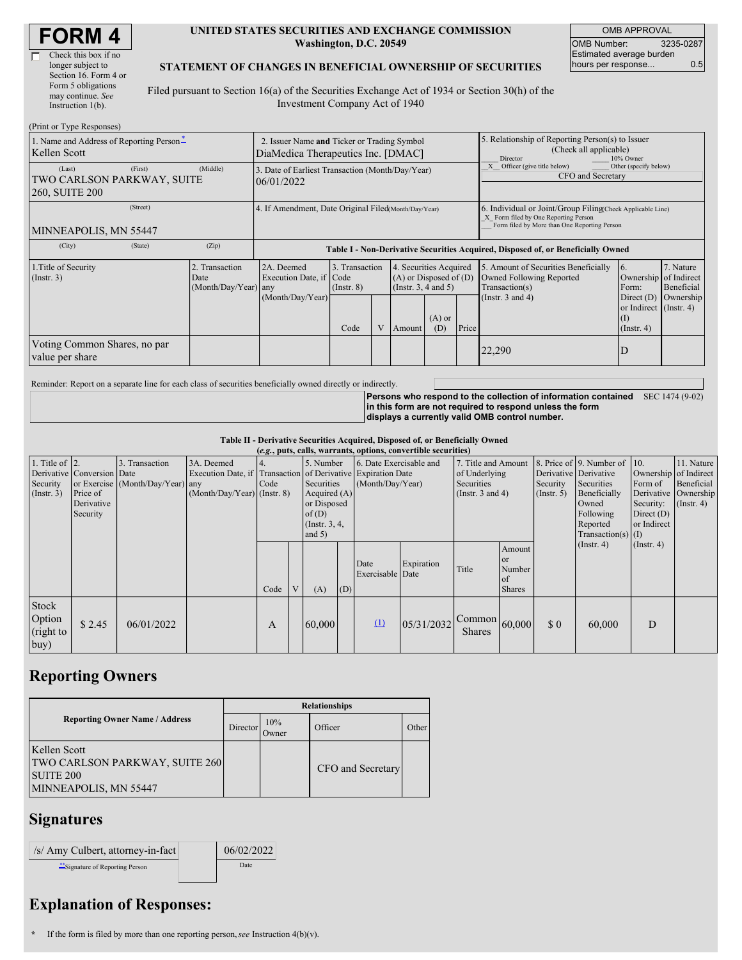| <b>FORM4</b> |
|--------------|
|--------------|

Г

| Check this box if no  |
|-----------------------|
| longer subject to     |
| Section 16. Form 4 or |
| Form 5 obligations    |
| may continue. See     |
| Instruction 1(b).     |
|                       |

#### **UNITED STATES SECURITIES AND EXCHANGE COMMISSION Washington, D.C. 20549**

OMB APPROVAL OMB Number: 3235-0287 Estimated average burden hours per response... 0.5

### **STATEMENT OF CHANGES IN BENEFICIAL OWNERSHIP OF SECURITIES**

Filed pursuant to Section 16(a) of the Securities Exchange Act of 1934 or Section 30(h) of the Investment Company Act of 1940

| (Print or Type Responses)                                         |                                                |                                                                                   |                                           |  |                                                                                                                        |  |                                                                          |                                                                                                                                                    |                                                                                                                            |                                      |  |
|-------------------------------------------------------------------|------------------------------------------------|-----------------------------------------------------------------------------------|-------------------------------------------|--|------------------------------------------------------------------------------------------------------------------------|--|--------------------------------------------------------------------------|----------------------------------------------------------------------------------------------------------------------------------------------------|----------------------------------------------------------------------------------------------------------------------------|--------------------------------------|--|
| 1. Name and Address of Reporting Person-<br>Kellen Scott          |                                                | 2. Issuer Name and Ticker or Trading Symbol<br>DiaMedica Therapeutics Inc. [DMAC] |                                           |  |                                                                                                                        |  |                                                                          | 5. Relationship of Reporting Person(s) to Issuer<br>(Check all applicable)<br>Director<br>10% Owner                                                |                                                                                                                            |                                      |  |
| (Last)<br>(First)<br>TWO CARLSON PARKWAY, SUITE<br>260, SUITE 200 | (Middle)                                       | 3. Date of Earliest Transaction (Month/Day/Year)<br>06/01/2022                    |                                           |  |                                                                                                                        |  | Officer (give title below)<br>Other (specify below)<br>CFO and Secretary |                                                                                                                                                    |                                                                                                                            |                                      |  |
| (Street)<br>MINNEAPOLIS, MN 55447                                 |                                                | 4. If Amendment, Date Original Filed(Month/Day/Year)                              |                                           |  |                                                                                                                        |  |                                                                          | 6. Individual or Joint/Group Filing Check Applicable Line)<br>X Form filed by One Reporting Person<br>Form filed by More than One Reporting Person |                                                                                                                            |                                      |  |
| (City)<br>(State)                                                 | (Zip)                                          | Table I - Non-Derivative Securities Acquired, Disposed of, or Beneficially Owned  |                                           |  |                                                                                                                        |  |                                                                          |                                                                                                                                                    |                                                                                                                            |                                      |  |
| 1. Title of Security<br>(Insert. 3)                               | 2. Transaction<br>Date<br>(Month/Day/Year) any | 2A. Deemed<br>Execution Date, if Code<br>(Month/Day/Year)                         | 3. Transaction<br>$($ Instr. $8)$<br>Code |  | 4. Securities Acquired<br>$(A)$ or Disposed of $(D)$<br>(Instr. $3, 4$ and $5$ )<br>$(A)$ or<br>Price<br>(D)<br>Amount |  |                                                                          | 5. Amount of Securities Beneficially<br>Owned Following Reported<br>Transaction(s)<br>(Instr. $3$ and $4$ )                                        | $\overline{6}$ .<br>Ownership of Indirect<br>Form:<br>Direct $(D)$<br>or Indirect (Instr. 4)<br>$($ I)<br>$($ Instr. 4 $)$ | 7. Nature<br>Beneficial<br>Ownership |  |
| Voting Common Shares, no par<br>value per share                   |                                                |                                                                                   |                                           |  | 22,290                                                                                                                 |  |                                                                          | D                                                                                                                                                  |                                                                                                                            |                                      |  |

Reminder: Report on a separate line for each class of securities beneficially owned directly or indirectly.

**Persons who respond to the collection of information contained** SEC 1474 (9-02) **in this form are not required to respond unless the form displays a currently valid OMB control number.**

#### **Table II - Derivative Securities Acquired, Disposed of, or Beneficially Owned**

| (e.g., puts, calls, warrants, options, convertible securities) |                                                                  |                                                    |                                                                   |      |   |                                                                                                     |                                                                                          |                          |                                                                                    |                                                         |                                                        |                                                                                                                                           |                                                                    |                                                                                               |  |
|----------------------------------------------------------------|------------------------------------------------------------------|----------------------------------------------------|-------------------------------------------------------------------|------|---|-----------------------------------------------------------------------------------------------------|------------------------------------------------------------------------------------------|--------------------------|------------------------------------------------------------------------------------|---------------------------------------------------------|--------------------------------------------------------|-------------------------------------------------------------------------------------------------------------------------------------------|--------------------------------------------------------------------|-----------------------------------------------------------------------------------------------|--|
| 1. Title of $ 2$ .<br>Security<br>(Insert. 3)                  | Derivative Conversion Date<br>Price of<br>Derivative<br>Security | 3. Transaction<br>or Exercise (Month/Day/Year) any | 3A. Deemed<br>Execution Date, if<br>$(Month/Day/Year)$ (Instr. 8) | Code |   | 5. Number<br>Securities<br>Acquired $(A)$<br>or Disposed<br>of $(D)$<br>(Instr. $3, 4,$<br>and $5)$ | 6. Date Exercisable and<br>Transaction of Derivative Expiration Date<br>(Month/Day/Year) |                          | 7. Title and Amount<br>of Underlying<br><b>Securities</b><br>(Instr. $3$ and $4$ ) |                                                         | Security<br>$($ Instr. 5 $)$                           | 8. Price of 9. Number of<br>Derivative Derivative<br>Securities<br>Beneficially<br>Owned<br>Following<br>Reported<br>Transaction(s) $(I)$ | $\vert$ 10.<br>Form of<br>Security:<br>Direct $(D)$<br>or Indirect | 11. Nature<br>Ownership of Indirect<br>Beneficial<br>Derivative Ownership<br>$($ Instr. 4 $)$ |  |
|                                                                |                                                                  |                                                    |                                                                   | Code | V | (A)                                                                                                 | (D)                                                                                      | Date<br>Exercisable Date | Expiration                                                                         | Title                                                   | Amount<br><b>or</b><br>Number<br>l of<br><b>Shares</b> |                                                                                                                                           | $($ Instr. 4 $)$                                                   | $($ Instr. 4 $)$                                                                              |  |
| Stock<br>Option<br>(right to<br>buy)                           | \$2.45                                                           | 06/01/2022                                         |                                                                   | A    |   | 60,000                                                                                              |                                                                                          | $\Omega$                 | 05/31/2032                                                                         | $\sqrt{\text{Common}}\big 60,000\big $<br><b>Shares</b> |                                                        | $\Omega$                                                                                                                                  | 60,000                                                             | D                                                                                             |  |

# **Reporting Owners**

|                                                                                                    | <b>Relationships</b> |              |                   |       |  |  |  |  |
|----------------------------------------------------------------------------------------------------|----------------------|--------------|-------------------|-------|--|--|--|--|
| <b>Reporting Owner Name / Address</b>                                                              | Director             | 10%<br>Owner | Officer           | Other |  |  |  |  |
| Kellen Scott<br><b>TWO CARLSON PARKWAY, SUITE 260</b><br><b>SUITE 200</b><br>MINNEAPOLIS, MN 55447 |                      |              | CFO and Secretary |       |  |  |  |  |

### **Signatures**

| /s/ Amy Culbert, attorney-in-fact | 06/02/2022 |
|-----------------------------------|------------|
| Signature of Reporting Person     | Date       |

## **Explanation of Responses:**

**<sup>\*</sup>** If the form is filed by more than one reporting person,*see* Instruction 4(b)(v).